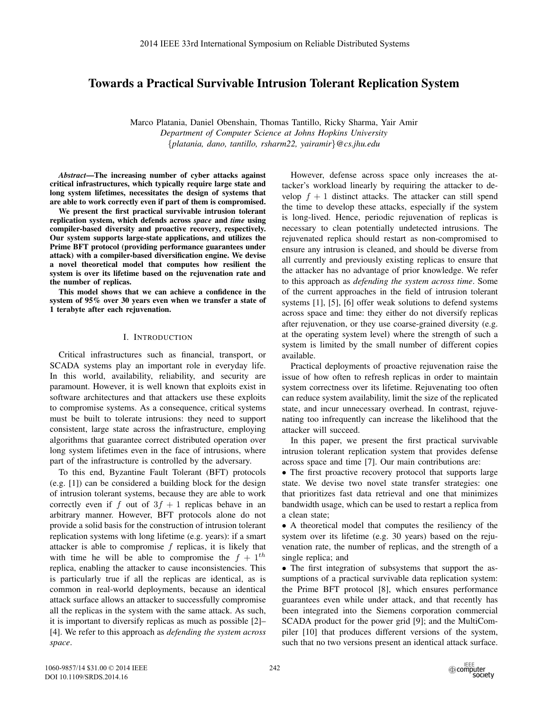# Towards a Practical Survivable Intrusion Tolerant Replication System

Marco Platania, Daniel Obenshain, Thomas Tantillo, Ricky Sharma, Yair Amir *Department of Computer Science at Johns Hopkins University* {*platania, dano, tantillo, rsharm22, yairamir*}*@cs.jhu.edu*

*Abstract*—The increasing number of cyber attacks against critical infrastructures, which typically require large state and long system lifetimes, necessitates the design of systems that are able to work correctly even if part of them is compromised.

We present the first practical survivable intrusion tolerant replication system, which defends across *space* and *time* using compiler-based diversity and proactive recovery, respectively. Our system supports large-state applications, and utilizes the Prime BFT protocol (providing performance guarantees under attack) with a compiler-based diversification engine. We devise a novel theoretical model that computes how resilient the system is over its lifetime based on the rejuvenation rate and the number of replicas.

This model shows that we can achieve a confidence in the system of 95% over 30 years even when we transfer a state of 1 terabyte after each rejuvenation.

### I. INTRODUCTION

Critical infrastructures such as financial, transport, or SCADA systems play an important role in everyday life. In this world, availability, reliability, and security are paramount. However, it is well known that exploits exist in software architectures and that attackers use these exploits to compromise systems. As a consequence, critical systems must be built to tolerate intrusions: they need to support consistent, large state across the infrastructure, employing algorithms that guarantee correct distributed operation over long system lifetimes even in the face of intrusions, where part of the infrastructure is controlled by the adversary.

To this end, Byzantine Fault Tolerant (BFT) protocols (e.g. [1]) can be considered a building block for the design of intrusion tolerant systems, because they are able to work correctly even if f out of  $3f + 1$  replicas behave in an arbitrary manner. However, BFT protocols alone do not provide a solid basis for the construction of intrusion tolerant replication systems with long lifetime (e.g. years): if a smart attacker is able to compromise  $f$  replicas, it is likely that with time he will be able to compromise the  $f + 1^{th}$ replica, enabling the attacker to cause inconsistencies. This is particularly true if all the replicas are identical, as is common in real-world deployments, because an identical attack surface allows an attacker to successfully compromise all the replicas in the system with the same attack. As such, it is important to diversify replicas as much as possible [2]– [4]. We refer to this approach as *defending the system across space*.

However, defense across space only increases the attacker's workload linearly by requiring the attacker to develop  $f + 1$  distinct attacks. The attacker can still spend the time to develop these attacks, especially if the system is long-lived. Hence, periodic rejuvenation of replicas is necessary to clean potentially undetected intrusions. The rejuvenated replica should restart as non-compromised to ensure any intrusion is cleaned, and should be diverse from all currently and previously existing replicas to ensure that the attacker has no advantage of prior knowledge. We refer to this approach as *defending the system across time*. Some of the current approaches in the field of intrusion tolerant systems [1], [5], [6] offer weak solutions to defend systems across space and time: they either do not diversify replicas after rejuvenation, or they use coarse-grained diversity (e.g. at the operating system level) where the strength of such a system is limited by the small number of different copies available.

Practical deployments of proactive rejuvenation raise the issue of how often to refresh replicas in order to maintain system correctness over its lifetime. Rejuvenating too often can reduce system availability, limit the size of the replicated state, and incur unnecessary overhead. In contrast, rejuvenating too infrequently can increase the likelihood that the attacker will succeed.

In this paper, we present the first practical survivable intrusion tolerant replication system that provides defense across space and time [7]. Our main contributions are:

• The first proactive recovery protocol that supports large state. We devise two novel state transfer strategies: one that prioritizes fast data retrieval and one that minimizes bandwidth usage, which can be used to restart a replica from a clean state;

• A theoretical model that computes the resiliency of the system over its lifetime (e.g. 30 years) based on the rejuvenation rate, the number of replicas, and the strength of a single replica; and

• The first integration of subsystems that support the assumptions of a practical survivable data replication system: the Prime BFT protocol [8], which ensures performance guarantees even while under attack, and that recently has been integrated into the Siemens corporation commercial SCADA product for the power grid [9]; and the MultiCompiler [10] that produces different versions of the system, such that no two versions present an identical attack surface.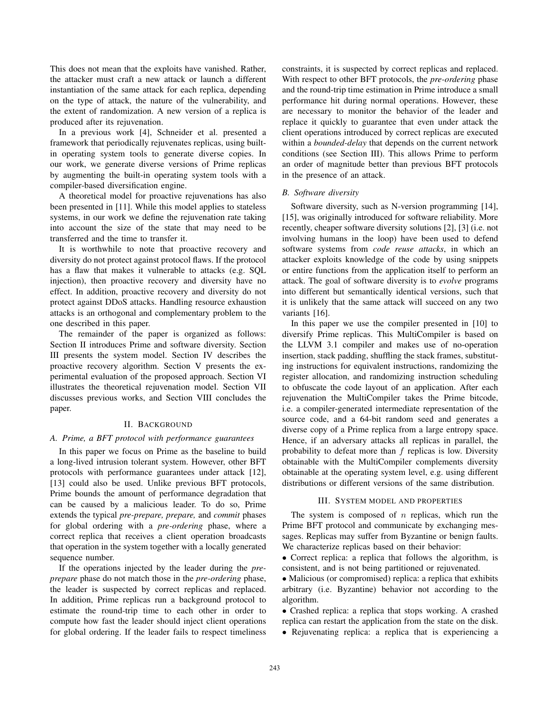This does not mean that the exploits have vanished. Rather, the attacker must craft a new attack or launch a different instantiation of the same attack for each replica, depending on the type of attack, the nature of the vulnerability, and the extent of randomization. A new version of a replica is produced after its rejuvenation.

In a previous work [4], Schneider et al. presented a framework that periodically rejuvenates replicas, using builtin operating system tools to generate diverse copies. In our work, we generate diverse versions of Prime replicas by augmenting the built-in operating system tools with a compiler-based diversification engine.

A theoretical model for proactive rejuvenations has also been presented in [11]. While this model applies to stateless systems, in our work we define the rejuvenation rate taking into account the size of the state that may need to be transferred and the time to transfer it.

It is worthwhile to note that proactive recovery and diversity do not protect against protocol flaws. If the protocol has a flaw that makes it vulnerable to attacks (e.g. SQL injection), then proactive recovery and diversity have no effect. In addition, proactive recovery and diversity do not protect against DDoS attacks. Handling resource exhaustion attacks is an orthogonal and complementary problem to the one described in this paper.

The remainder of the paper is organized as follows: Section II introduces Prime and software diversity. Section III presents the system model. Section IV describes the proactive recovery algorithm. Section V presents the experimental evaluation of the proposed approach. Section VI illustrates the theoretical rejuvenation model. Section VII discusses previous works, and Section VIII concludes the paper.

### II. BACKGROUND

#### *A. Prime, a BFT protocol with performance guarantees*

In this paper we focus on Prime as the baseline to build a long-lived intrusion tolerant system. However, other BFT protocols with performance guarantees under attack [12], [13] could also be used. Unlike previous BFT protocols, Prime bounds the amount of performance degradation that can be caused by a malicious leader. To do so, Prime extends the typical *pre-prepare, prepare,* and *commit* phases for global ordering with a *pre-ordering* phase, where a correct replica that receives a client operation broadcasts that operation in the system together with a locally generated sequence number.

If the operations injected by the leader during the *preprepare* phase do not match those in the *pre-ordering* phase, the leader is suspected by correct replicas and replaced. In addition, Prime replicas run a background protocol to estimate the round-trip time to each other in order to compute how fast the leader should inject client operations for global ordering. If the leader fails to respect timeliness constraints, it is suspected by correct replicas and replaced. With respect to other BFT protocols, the *pre-ordering* phase and the round-trip time estimation in Prime introduce a small performance hit during normal operations. However, these are necessary to monitor the behavior of the leader and replace it quickly to guarantee that even under attack the client operations introduced by correct replicas are executed within a *bounded-delay* that depends on the current network conditions (see Section III). This allows Prime to perform an order of magnitude better than previous BFT protocols in the presence of an attack.

### *B. Software diversity*

Software diversity, such as N-version programming [14], [15], was originally introduced for software reliability. More recently, cheaper software diversity solutions [2], [3] (i.e. not involving humans in the loop) have been used to defend software systems from *code reuse attacks*, in which an attacker exploits knowledge of the code by using snippets or entire functions from the application itself to perform an attack. The goal of software diversity is to *evolve* programs into different but semantically identical versions, such that it is unlikely that the same attack will succeed on any two variants [16].

In this paper we use the compiler presented in [10] to diversify Prime replicas. This MultiCompiler is based on the LLVM 3.1 compiler and makes use of no-operation insertion, stack padding, shuffling the stack frames, substituting instructions for equivalent instructions, randomizing the register allocation, and randomizing instruction scheduling to obfuscate the code layout of an application. After each rejuvenation the MultiCompiler takes the Prime bitcode, i.e. a compiler-generated intermediate representation of the source code, and a 64-bit random seed and generates a diverse copy of a Prime replica from a large entropy space. Hence, if an adversary attacks all replicas in parallel, the probability to defeat more than  $f$  replicas is low. Diversity obtainable with the MultiCompiler complements diversity obtainable at the operating system level, e.g. using different distributions or different versions of the same distribution.

#### III. SYSTEM MODEL AND PROPERTIES

The system is composed of  $n$  replicas, which run the Prime BFT protocol and communicate by exchanging messages. Replicas may suffer from Byzantine or benign faults. We characterize replicas based on their behavior:

• Correct replica: a replica that follows the algorithm, is consistent, and is not being partitioned or rejuvenated.

• Malicious (or compromised) replica: a replica that exhibits arbitrary (i.e. Byzantine) behavior not according to the algorithm.

• Crashed replica: a replica that stops working. A crashed replica can restart the application from the state on the disk.

• Rejuvenating replica: a replica that is experiencing a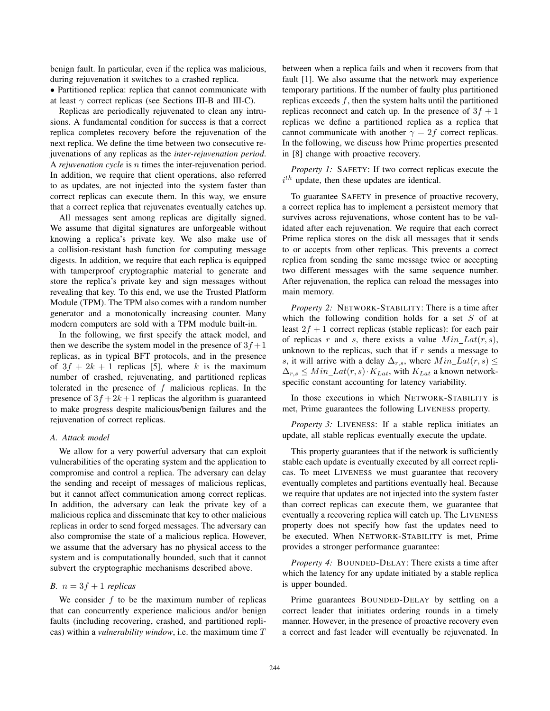benign fault. In particular, even if the replica was malicious, during rejuvenation it switches to a crashed replica.

• Partitioned replica: replica that cannot communicate with at least  $\gamma$  correct replicas (see Sections III-B and III-C).

Replicas are periodically rejuvenated to clean any intrusions. A fundamental condition for success is that a correct replica completes recovery before the rejuvenation of the next replica. We define the time between two consecutive rejuvenations of any replicas as the *inter-rejuvenation period*. A *rejuvenation cycle* is n times the inter-rejuvenation period. In addition, we require that client operations, also referred to as updates, are not injected into the system faster than correct replicas can execute them. In this way, we ensure that a correct replica that rejuvenates eventually catches up.

All messages sent among replicas are digitally signed. We assume that digital signatures are unforgeable without knowing a replica's private key. We also make use of a collision-resistant hash function for computing message digests. In addition, we require that each replica is equipped with tamperproof cryptographic material to generate and store the replica's private key and sign messages without revealing that key. To this end, we use the Trusted Platform Module (TPM). The TPM also comes with a random number generator and a monotonically increasing counter. Many modern computers are sold with a TPM module built-in.

In the following, we first specify the attack model, and then we describe the system model in the presence of  $3f+1$ replicas, as in typical BFT protocols, and in the presence of  $3f + 2k + 1$  replicas [5], where k is the maximum number of crashed, rejuvenating, and partitioned replicas tolerated in the presence of  $f$  malicious replicas. In the presence of  $3f + 2k + 1$  replicas the algorithm is guaranteed to make progress despite malicious/benign failures and the rejuvenation of correct replicas.

### *A. Attack model*

We allow for a very powerful adversary that can exploit vulnerabilities of the operating system and the application to compromise and control a replica. The adversary can delay the sending and receipt of messages of malicious replicas, but it cannot affect communication among correct replicas. In addition, the adversary can leak the private key of a malicious replica and disseminate that key to other malicious replicas in order to send forged messages. The adversary can also compromise the state of a malicious replica. However, we assume that the adversary has no physical access to the system and is computationally bounded, such that it cannot subvert the cryptographic mechanisms described above.

## *B.*  $n = 3f + 1$  *replicas*

We consider  $f$  to be the maximum number of replicas that can concurrently experience malicious and/or benign faults (including recovering, crashed, and partitioned replicas) within a *vulnerability window*, i.e. the maximum time T between when a replica fails and when it recovers from that fault [1]. We also assume that the network may experience temporary partitions. If the number of faulty plus partitioned replicas exceeds  $f$ , then the system halts until the partitioned replicas reconnect and catch up. In the presence of  $3f + 1$ replicas we define a partitioned replica as a replica that cannot communicate with another  $\gamma = 2f$  correct replicas. In the following, we discuss how Prime properties presented in [8] change with proactive recovery.

*Property 1:* SAFETY: If two correct replicas execute the  $i<sup>th</sup>$  update, then these updates are identical.

To guarantee SAFETY in presence of proactive recovery, a correct replica has to implement a persistent memory that survives across rejuvenations, whose content has to be validated after each rejuvenation. We require that each correct Prime replica stores on the disk all messages that it sends to or accepts from other replicas. This prevents a correct replica from sending the same message twice or accepting two different messages with the same sequence number. After rejuvenation, the replica can reload the messages into main memory.

*Property 2:* NETWORK-STABILITY: There is a time after which the following condition holds for a set  $S$  of at least  $2f + 1$  correct replicas (stable replicas): for each pair of replicas r and s, there exists a value  $Min\_Lat(r, s)$ , unknown to the replicas, such that if  $r$  sends a message to s, it will arrive with a delay  $\Delta_{r,s}$ , where  $Min\_Lat(r, s) \leq$  $\Delta_{r,s} \leq Min\_Lat(r, s) \cdot K_{Lat}$ , with  $K_{Lat}$  a known networkspecific constant accounting for latency variability.

In those executions in which NETWORK-STABILITY is met, Prime guarantees the following LIVENESS property.

*Property 3:* LIVENESS: If a stable replica initiates an update, all stable replicas eventually execute the update.

This property guarantees that if the network is sufficiently stable each update is eventually executed by all correct replicas. To meet LIVENESS we must guarantee that recovery eventually completes and partitions eventually heal. Because we require that updates are not injected into the system faster than correct replicas can execute them, we guarantee that eventually a recovering replica will catch up. The LIVENESS property does not specify how fast the updates need to be executed. When NETWORK-STABILITY is met, Prime provides a stronger performance guarantee:

*Property 4:* BOUNDED-DELAY: There exists a time after which the latency for any update initiated by a stable replica is upper bounded.

Prime guarantees BOUNDED-DELAY by settling on a correct leader that initiates ordering rounds in a timely manner. However, in the presence of proactive recovery even a correct and fast leader will eventually be rejuvenated. In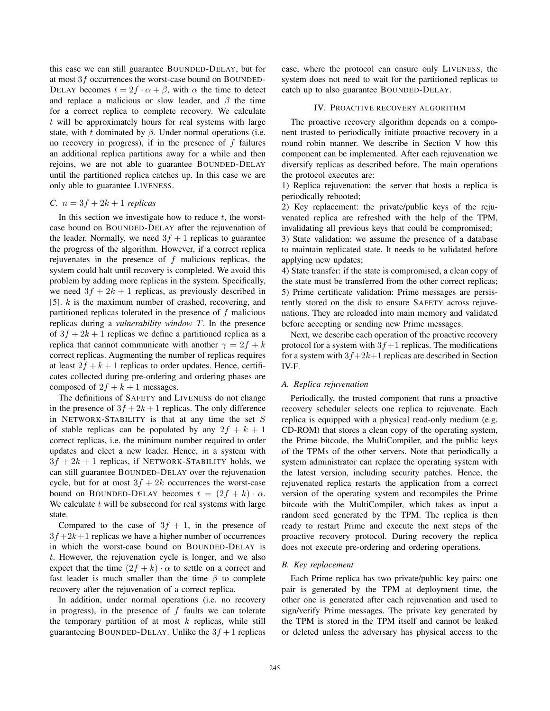this case we can still guarantee BOUNDED-DELAY, but for at most 3f occurrences the worst-case bound on BOUNDED-DELAY becomes  $t = 2f \cdot \alpha + \beta$ , with  $\alpha$  the time to detect and replace a malicious or slow leader, and  $\beta$  the time for a correct replica to complete recovery. We calculate t will be approximately hours for real systems with large state, with t dominated by  $\beta$ . Under normal operations (i.e. no recovery in progress), if in the presence of  $f$  failures an additional replica partitions away for a while and then rejoins, we are not able to guarantee BOUNDED-DELAY until the partitioned replica catches up. In this case we are only able to guarantee LIVENESS.

### *C.*  $n = 3f + 2k + 1$  *replicas*

In this section we investigate how to reduce  $t$ , the worstcase bound on BOUNDED-DELAY after the rejuvenation of the leader. Normally, we need  $3f + 1$  replicas to guarantee the progress of the algorithm. However, if a correct replica rejuvenates in the presence of  $f$  malicious replicas, the system could halt until recovery is completed. We avoid this problem by adding more replicas in the system. Specifically, we need  $3f + 2k + 1$  replicas, as previously described in [5].  $k$  is the maximum number of crashed, recovering, and partitioned replicas tolerated in the presence of  $f$  malicious replicas during a *vulnerability window* T. In the presence of  $3f + 2k + 1$  replicas we define a partitioned replica as a replica that cannot communicate with another  $\gamma = 2f + k$ correct replicas. Augmenting the number of replicas requires at least  $2f + k + 1$  replicas to order updates. Hence, certificates collected during pre-ordering and ordering phases are composed of  $2f + k + 1$  messages.

The definitions of SAFETY and LIVENESS do not change in the presence of  $3f + 2k + 1$  replicas. The only difference in NETWORK-STABILITY is that at any time the set  $S$ of stable replicas can be populated by any  $2f + k + 1$ correct replicas, i.e. the minimum number required to order updates and elect a new leader. Hence, in a system with  $3f + 2k + 1$  replicas, if NETWORK-STABILITY holds, we can still guarantee BOUNDED-DELAY over the rejuvenation cycle, but for at most  $3f + 2k$  occurrences the worst-case bound on BOUNDED-DELAY becomes  $t = (2f + k) \cdot \alpha$ . We calculate  $t$  will be subsecond for real systems with large state.

Compared to the case of  $3f + 1$ , in the presence of  $3f + 2k + 1$  replicas we have a higher number of occurrences in which the worst-case bound on BOUNDED-DELAY is t. However, the rejuvenation cycle is longer, and we also expect that the time  $(2f + k) \cdot \alpha$  to settle on a correct and fast leader is much smaller than the time  $\beta$  to complete recovery after the rejuvenation of a correct replica.

In addition, under normal operations (i.e. no recovery in progress), in the presence of  $f$  faults we can tolerate the temporary partition of at most  $k$  replicas, while still guaranteeing BOUNDED-DELAY. Unlike the  $3f + 1$  replicas case, where the protocol can ensure only LIVENESS, the system does not need to wait for the partitioned replicas to catch up to also guarantee BOUNDED-DELAY.

### IV. PROACTIVE RECOVERY ALGORITHM

The proactive recovery algorithm depends on a component trusted to periodically initiate proactive recovery in a round robin manner. We describe in Section V how this component can be implemented. After each rejuvenation we diversify replicas as described before. The main operations the protocol executes are:

1) Replica rejuvenation: the server that hosts a replica is periodically rebooted;

2) Key replacement: the private/public keys of the rejuvenated replica are refreshed with the help of the TPM, invalidating all previous keys that could be compromised;

3) State validation: we assume the presence of a database to maintain replicated state. It needs to be validated before applying new updates;

4) State transfer: if the state is compromised, a clean copy of the state must be transferred from the other correct replicas; 5) Prime certificate validation: Prime messages are persistently stored on the disk to ensure SAFETY across rejuvenations. They are reloaded into main memory and validated before accepting or sending new Prime messages.

Next, we describe each operation of the proactive recovery protocol for a system with  $3f+1$  replicas. The modifications for a system with  $3f+2k+1$  replicas are described in Section IV-F.

### *A. Replica rejuvenation*

Periodically, the trusted component that runs a proactive recovery scheduler selects one replica to rejuvenate. Each replica is equipped with a physical read-only medium (e.g. CD-ROM) that stores a clean copy of the operating system, the Prime bitcode, the MultiCompiler, and the public keys of the TPMs of the other servers. Note that periodically a system administrator can replace the operating system with the latest version, including security patches. Hence, the rejuvenated replica restarts the application from a correct version of the operating system and recompiles the Prime bitcode with the MultiCompiler, which takes as input a random seed generated by the TPM. The replica is then ready to restart Prime and execute the next steps of the proactive recovery protocol. During recovery the replica does not execute pre-ordering and ordering operations.

### *B. Key replacement*

Each Prime replica has two private/public key pairs: one pair is generated by the TPM at deployment time, the other one is generated after each rejuvenation and used to sign/verify Prime messages. The private key generated by the TPM is stored in the TPM itself and cannot be leaked or deleted unless the adversary has physical access to the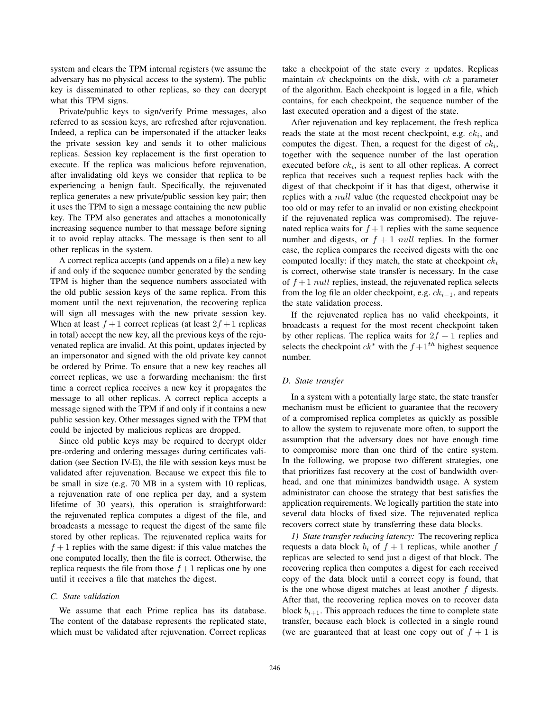system and clears the TPM internal registers (we assume the adversary has no physical access to the system). The public key is disseminated to other replicas, so they can decrypt what this TPM signs.

Private/public keys to sign/verify Prime messages, also referred to as session keys, are refreshed after rejuvenation. Indeed, a replica can be impersonated if the attacker leaks the private session key and sends it to other malicious replicas. Session key replacement is the first operation to execute. If the replica was malicious before rejuvenation, after invalidating old keys we consider that replica to be experiencing a benign fault. Specifically, the rejuvenated replica generates a new private/public session key pair; then it uses the TPM to sign a message containing the new public key. The TPM also generates and attaches a monotonically increasing sequence number to that message before signing it to avoid replay attacks. The message is then sent to all other replicas in the system.

A correct replica accepts (and appends on a file) a new key if and only if the sequence number generated by the sending TPM is higher than the sequence numbers associated with the old public session keys of the same replica. From this moment until the next rejuvenation, the recovering replica will sign all messages with the new private session key. When at least  $f + 1$  correct replicas (at least  $2f + 1$  replicas in total) accept the new key, all the previous keys of the rejuvenated replica are invalid. At this point, updates injected by an impersonator and signed with the old private key cannot be ordered by Prime. To ensure that a new key reaches all correct replicas, we use a forwarding mechanism: the first time a correct replica receives a new key it propagates the message to all other replicas. A correct replica accepts a message signed with the TPM if and only if it contains a new public session key. Other messages signed with the TPM that could be injected by malicious replicas are dropped.

Since old public keys may be required to decrypt older pre-ordering and ordering messages during certificates validation (see Section IV-E), the file with session keys must be validated after rejuvenation. Because we expect this file to be small in size (e.g. 70 MB in a system with 10 replicas, a rejuvenation rate of one replica per day, and a system lifetime of 30 years), this operation is straightforward: the rejuvenated replica computes a digest of the file, and broadcasts a message to request the digest of the same file stored by other replicas. The rejuvenated replica waits for  $f + 1$  replies with the same digest: if this value matches the one computed locally, then the file is correct. Otherwise, the replica requests the file from those  $f+1$  replicas one by one until it receives a file that matches the digest.

#### *C. State validation*

We assume that each Prime replica has its database. The content of the database represents the replicated state, which must be validated after rejuvenation. Correct replicas

take a checkpoint of the state every  $x$  updates. Replicas maintain  $ck$  checkpoints on the disk, with  $ck$  a parameter of the algorithm. Each checkpoint is logged in a file, which contains, for each checkpoint, the sequence number of the last executed operation and a digest of the state.

After rejuvenation and key replacement, the fresh replica reads the state at the most recent checkpoint, e.g.  $ck<sub>i</sub>$ , and computes the digest. Then, a request for the digest of  $ck_i$ , together with the sequence number of the last operation executed before  $ck_i$ , is sent to all other replicas. A correct replica that receives such a request replies back with the digest of that checkpoint if it has that digest, otherwise it replies with a null value (the requested checkpoint may be too old or may refer to an invalid or non existing checkpoint if the rejuvenated replica was compromised). The rejuvenated replica waits for  $f + 1$  replies with the same sequence number and digests, or  $f + 1$  *null* replies. In the former case, the replica compares the received digests with the one computed locally: if they match, the state at checkpoint  $ck_i$ is correct, otherwise state transfer is necessary. In the case of  $f + 1$  null replies, instead, the rejuvenated replica selects from the log file an older checkpoint, e.g.  $ck_{i-1}$ , and repeats the state validation process.

If the rejuvenated replica has no valid checkpoints, it broadcasts a request for the most recent checkpoint taken by other replicas. The replica waits for  $2f + 1$  replies and selects the checkpoint  $ck^*$  with the  $f+1<sup>th</sup>$  highest sequence number.

#### *D. State transfer*

In a system with a potentially large state, the state transfer mechanism must be efficient to guarantee that the recovery of a compromised replica completes as quickly as possible to allow the system to rejuvenate more often, to support the assumption that the adversary does not have enough time to compromise more than one third of the entire system. In the following, we propose two different strategies, one that prioritizes fast recovery at the cost of bandwidth overhead, and one that minimizes bandwidth usage. A system administrator can choose the strategy that best satisfies the application requirements. We logically partition the state into several data blocks of fixed size. The rejuvenated replica recovers correct state by transferring these data blocks.

*1) State transfer reducing latency:* The recovering replica requests a data block  $b_i$  of  $f + 1$  replicas, while another f replicas are selected to send just a digest of that block. The recovering replica then computes a digest for each received copy of the data block until a correct copy is found, that is the one whose digest matches at least another  $f$  digests. After that, the recovering replica moves on to recover data block  $b_{i+1}$ . This approach reduces the time to complete state transfer, because each block is collected in a single round (we are guaranteed that at least one copy out of  $f + 1$  is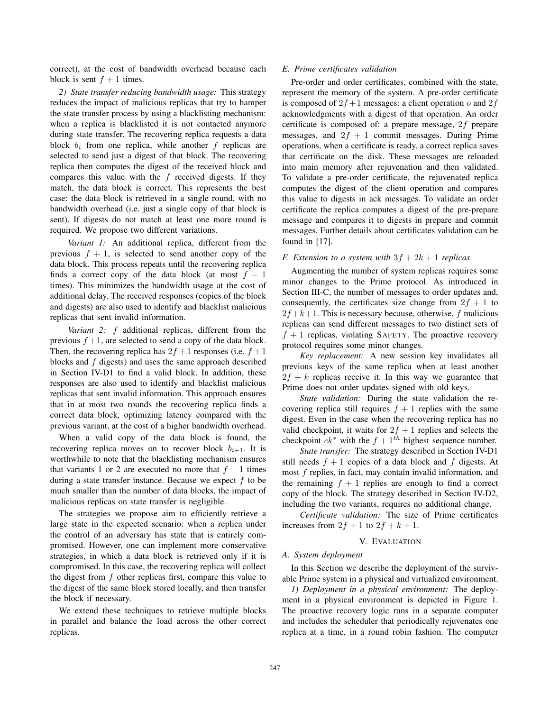correct), at the cost of bandwidth overhead because each block is sent  $f + 1$  times.

*2) State transfer reducing bandwidth usage:* This strategy reduces the impact of malicious replicas that try to hamper the state transfer process by using a blacklisting mechanism: when a replica is blacklisted it is not contacted anymore during state transfer. The recovering replica requests a data block  $b_i$  from one replica, while another f replicas are selected to send just a digest of that block. The recovering replica then computes the digest of the received block and compares this value with the  $f$  received digests. If they match, the data block is correct. This represents the best case: the data block is retrieved in a single round, with no bandwidth overhead (i.e. just a single copy of that block is sent). If digests do not match at least one more round is required. We propose two different variations.

*Variant 1:* An additional replica, different from the previous  $f + 1$ , is selected to send another copy of the data block. This process repeats until the recovering replica finds a correct copy of the data block (at most  $f - 1$ times). This minimizes the bandwidth usage at the cost of additional delay. The received responses (copies of the block and digests) are also used to identify and blacklist malicious replicas that sent invalid information.

*Variant 2:* f additional replicas, different from the previous  $f+1$ , are selected to send a copy of the data block. Then, the recovering replica has  $2f + 1$  responses (i.e.  $f + 1$ blocks and f digests) and uses the same approach described in Section IV-D1 to find a valid block. In addition, these responses are also used to identify and blacklist malicious replicas that sent invalid information. This approach ensures that in at most two rounds the recovering replica finds a correct data block, optimizing latency compared with the previous variant, at the cost of a higher bandwidth overhead.

When a valid copy of the data block is found, the recovering replica moves on to recover block  $b_{i+1}$ . It is worthwhile to note that the blacklisting mechanism ensures that variants 1 or 2 are executed no more that  $f - 1$  times during a state transfer instance. Because we expect  $f$  to be much smaller than the number of data blocks, the impact of malicious replicas on state transfer is negligible.

The strategies we propose aim to efficiently retrieve a large state in the expected scenario: when a replica under the control of an adversary has state that is entirely compromised. However, one can implement more conservative strategies, in which a data block is retrieved only if it is compromised. In this case, the recovering replica will collect the digest from  $f$  other replicas first, compare this value to the digest of the same block stored locally, and then transfer the block if necessary.

We extend these techniques to retrieve multiple blocks in parallel and balance the load across the other correct replicas.

### *E. Prime certificates validation*

Pre-order and order certificates, combined with the state, represent the memory of the system. A pre-order certificate is composed of  $2f+1$  messages: a client operation o and  $2f$ acknowledgments with a digest of that operation. An order certificate is composed of: a prepare message, 2f prepare messages, and  $2f + 1$  commit messages. During Prime operations, when a certificate is ready, a correct replica saves that certificate on the disk. These messages are reloaded into main memory after rejuvenation and then validated. To validate a pre-order certificate, the rejuvenated replica computes the digest of the client operation and compares this value to digests in ack messages. To validate an order certificate the replica computes a digest of the pre-prepare message and compares it to digests in prepare and commit messages. Further details about certificates validation can be found in [17].

#### *F.* Extension to a system with  $3f + 2k + 1$  *replicas*

Augmenting the number of system replicas requires some minor changes to the Prime protocol. As introduced in Section III-C, the number of messages to order updates and, consequently, the certificates size change from  $2f + 1$  to  $2f + k+1$ . This is necessary because, otherwise, f malicious replicas can send different messages to two distinct sets of  $f + 1$  replicas, violating SAFETY. The proactive recovery protocol requires some minor changes.

*Key replacement:* A new session key invalidates all previous keys of the same replica when at least another  $2f + k$  replicas receive it. In this way we guarantee that Prime does not order updates signed with old keys.

*State validation:* During the state validation the recovering replica still requires  $f + 1$  replies with the same digest. Even in the case when the recovering replica has no valid checkpoint, it waits for  $2f + 1$  replies and selects the checkpoint  $ck^*$  with the  $f + 1^{th}$  highest sequence number.

*State transfer:* The strategy described in Section IV-D1 still needs  $f + 1$  copies of a data block and f digests. At most  $f$  replies, in fact, may contain invalid information, and the remaining  $f + 1$  replies are enough to find a correct copy of the block. The strategy described in Section IV-D2, including the two variants, requires no additional change.

*Certificate validation:* The size of Prime certificates increases from  $2f + 1$  to  $2f + k + 1$ .

### V. EVALUATION

#### *A. System deployment*

In this Section we describe the deployment of the survivable Prime system in a physical and virtualized environment.

*1) Deployment in a physical environment:* The deployment in a physical environment is depicted in Figure 1. The proactive recovery logic runs in a separate computer and includes the scheduler that periodically rejuvenates one replica at a time, in a round robin fashion. The computer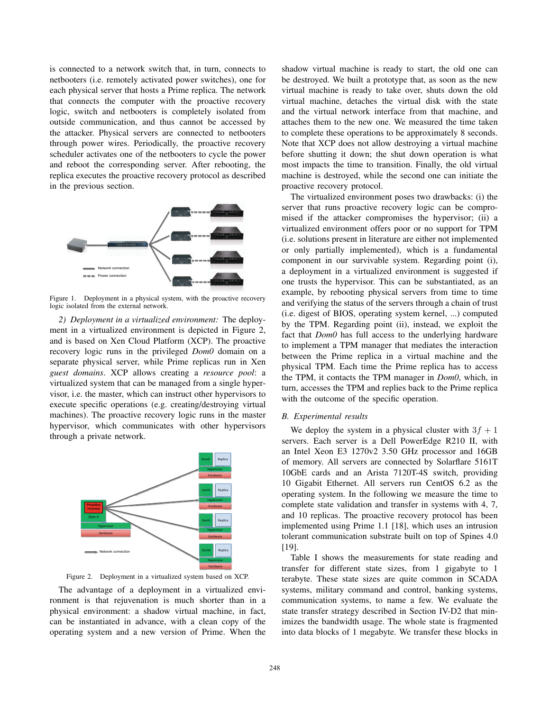is connected to a network switch that, in turn, connects to netbooters (i.e. remotely activated power switches), one for each physical server that hosts a Prime replica. The network that connects the computer with the proactive recovery logic, switch and netbooters is completely isolated from outside communication, and thus cannot be accessed by the attacker. Physical servers are connected to netbooters through power wires. Periodically, the proactive recovery scheduler activates one of the netbooters to cycle the power and reboot the corresponding server. After rebooting, the replica executes the proactive recovery protocol as described in the previous section.



Figure 1. Deployment in a physical system, with the proactive recovery logic isolated from the external network.

*2) Deployment in a virtualized environment:* The deployment in a virtualized environment is depicted in Figure 2, and is based on Xen Cloud Platform (XCP). The proactive recovery logic runs in the privileged *Dom0* domain on a separate physical server, while Prime replicas run in Xen *guest domains*. XCP allows creating a *resource pool*: a virtualized system that can be managed from a single hypervisor, i.e. the master, which can instruct other hypervisors to execute specific operations (e.g. creating/destroying virtual machines). The proactive recovery logic runs in the master hypervisor, which communicates with other hypervisors through a private network.



Figure 2. Deployment in a virtualized system based on XCP.

The advantage of a deployment in a virtualized environment is that rejuvenation is much shorter than in a physical environment: a shadow virtual machine, in fact, can be instantiated in advance, with a clean copy of the operating system and a new version of Prime. When the

shadow virtual machine is ready to start, the old one can be destroyed. We built a prototype that, as soon as the new virtual machine is ready to take over, shuts down the old virtual machine, detaches the virtual disk with the state and the virtual network interface from that machine, and attaches them to the new one. We measured the time taken to complete these operations to be approximately 8 seconds. Note that XCP does not allow destroying a virtual machine before shutting it down; the shut down operation is what most impacts the time to transition. Finally, the old virtual machine is destroyed, while the second one can initiate the proactive recovery protocol.

The virtualized environment poses two drawbacks: (i) the server that runs proactive recovery logic can be compromised if the attacker compromises the hypervisor; (ii) a virtualized environment offers poor or no support for TPM (i.e. solutions present in literature are either not implemented or only partially implemented), which is a fundamental component in our survivable system. Regarding point (i), a deployment in a virtualized environment is suggested if one trusts the hypervisor. This can be substantiated, as an example, by rebooting physical servers from time to time and verifying the status of the servers through a chain of trust (i.e. digest of BIOS, operating system kernel, ...) computed by the TPM. Regarding point (ii), instead, we exploit the fact that *Dom0* has full access to the underlying hardware to implement a TPM manager that mediates the interaction between the Prime replica in a virtual machine and the physical TPM. Each time the Prime replica has to access the TPM, it contacts the TPM manager in *Dom0*, which, in turn, accesses the TPM and replies back to the Prime replica with the outcome of the specific operation.

#### *B. Experimental results*

We deploy the system in a physical cluster with  $3f + 1$ servers. Each server is a Dell PowerEdge R210 II, with an Intel Xeon E3 1270v2 3.50 GHz processor and 16GB of memory. All servers are connected by Solarflare 5161T 10GbE cards and an Arista 7120T-4S switch, providing 10 Gigabit Ethernet. All servers run CentOS 6.2 as the operating system. In the following we measure the time to complete state validation and transfer in systems with 4, 7, and 10 replicas. The proactive recovery protocol has been implemented using Prime 1.1 [18], which uses an intrusion tolerant communication substrate built on top of Spines 4.0 [19].

Table I shows the measurements for state reading and transfer for different state sizes, from 1 gigabyte to 1 terabyte. These state sizes are quite common in SCADA systems, military command and control, banking systems, communication systems, to name a few. We evaluate the state transfer strategy described in Section IV-D2 that minimizes the bandwidth usage. The whole state is fragmented into data blocks of 1 megabyte. We transfer these blocks in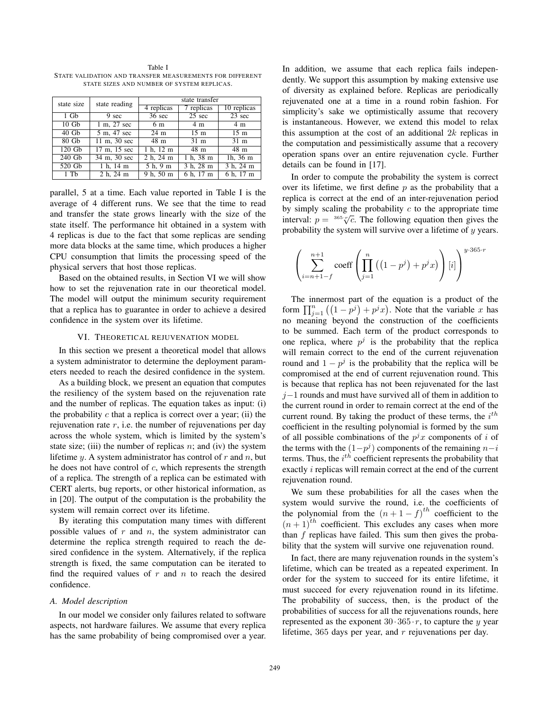Table I STATE VALIDATION AND TRANSFER MEASUREMENTS FOR DIFFERENT STATE SIZES AND NUMBER OF SYSTEM REPLICAS.

| state size | state reading                     | state transfer         |                        |                  |
|------------|-----------------------------------|------------------------|------------------------|------------------|
|            |                                   | 4 replicas             | 7 replicas             | 10 replicas      |
| $1$ Gb     | 9 sec                             | $36 \text{ sec}$       | $25 \text{ sec}$       | $23 \text{ sec}$ |
| $10\,$ Gb  | 1 m, 27 sec                       | 6 m                    | 4 m                    | 4 m              |
| $40$ Gb    | 5 m, 47 sec                       | $24 \text{ m}$         | 15 <sub>m</sub>        | $15 \text{ m}$   |
| $80$ Gb    | $11 \text{ m}$ , $30 \text{ sec}$ | 48 m                   | $31 \text{ m}$         | $31 \text{ m}$   |
| $120$ Gb   | 17 m, 15 sec                      | 1 h, 12 m              | 48 m                   | 48 m             |
| 240 Gb     | 34 m, 30 sec                      | 2 h, $24 \overline{m}$ | 1 h, 38 m              | 1h, 36 m         |
| $520$ Gb   | 1 h, 14 m                         | 5 h, 9 m               | 3 h, 28 m              | 3 h, 24 m        |
| $1$ Tb     | 2 h, 24 m                         | 9 h, 50 m              | 6 h, $\overline{17}$ m | 6 h, 17 m        |

parallel, 5 at a time. Each value reported in Table I is the average of 4 different runs. We see that the time to read and transfer the state grows linearly with the size of the state itself. The performance hit obtained in a system with 4 replicas is due to the fact that some replicas are sending more data blocks at the same time, which produces a higher CPU consumption that limits the processing speed of the physical servers that host those replicas.

Based on the obtained results, in Section VI we will show how to set the rejuvenation rate in our theoretical model. The model will output the minimum security requirement that a replica has to guarantee in order to achieve a desired confidence in the system over its lifetime.

### VI. THEORETICAL REJUVENATION MODEL

In this section we present a theoretical model that allows a system administrator to determine the deployment parameters needed to reach the desired confidence in the system.

As a building block, we present an equation that computes the resiliency of the system based on the rejuvenation rate and the number of replicas. The equation takes as input: (i) the probability  $c$  that a replica is correct over a year; (ii) the rejuvenation rate  $r$ , i.e. the number of rejuvenations per day across the whole system, which is limited by the system's state size; (iii) the number of replicas  $n$ ; and (iv) the system lifetime y. A system administrator has control of  $r$  and  $n$ , but he does not have control of c, which represents the strength of a replica. The strength of a replica can be estimated with CERT alerts, bug reports, or other historical information, as in [20]. The output of the computation is the probability the system will remain correct over its lifetime.

By iterating this computation many times with different possible values of  $r$  and  $n$ , the system administrator can determine the replica strength required to reach the desired confidence in the system. Alternatively, if the replica strength is fixed, the same computation can be iterated to find the required values of  $r$  and  $n$  to reach the desired confidence.

#### *A. Model description*

In our model we consider only failures related to software aspects, not hardware failures. We assume that every replica has the same probability of being compromised over a year. In addition, we assume that each replica fails independently. We support this assumption by making extensive use of diversity as explained before. Replicas are periodically rejuvenated one at a time in a round robin fashion. For simplicity's sake we optimistically assume that recovery is instantaneous. However, we extend this model to relax this assumption at the cost of an additional  $2k$  replicas in the computation and pessimistically assume that a recovery operation spans over an entire rejuvenation cycle. Further details can be found in [17].

In order to compute the probability the system is correct over its lifetime, we first define  $p$  as the probability that a replica is correct at the end of an inter-rejuvenation period by simply scaling the probability  $c$  to the appropriate time by simply scaling the probability c to the appropriate time<br>interval:  $p = {}^{365}C/\overline{C}$ . The following equation then gives the probability the system will survive over a lifetime of  $y$  years.

$$
\left(\sum_{i=n+1-f}^{n+1} \operatorname{coeff}\left(\prod_{j=1}^n \left((1-p^j)+p^jx\right)\right)[i]\right)^{y\cdot 365\cdot r}
$$

The innermost part of the equation is a product of the form  $\prod_{j=1}^{n} ((1-p^{j}) + p^{j}x)$ . Note that the variable x has no meaning beyond the construction of the coefficients to be summed. Each term of the product corresponds to one replica, where  $p^j$  is the probability that the replica will remain correct to the end of the current rejuvenation round and  $1 - p<sup>j</sup>$  is the probability that the replica will be compromised at the end of current rejuvenation round. This is because that replica has not been rejuvenated for the last  $j-1$  rounds and must have survived all of them in addition to the current round in order to remain correct at the end of the current round. By taking the product of these terms, the  $i^{th}$ coefficient in the resulting polynomial is formed by the sum of all possible combinations of the  $p^{j}x$  components of i of the terms with the  $(1-p<sup>j</sup>)$  components of the remaining  $n-i$ terms. Thus, the  $i^{th}$  coefficient represents the probability that exactly i replicas will remain correct at the end of the current rejuvenation round.

We sum these probabilities for all the cases when the system would survive the round, i.e. the coefficients of the polynomial from the  $(n+1-f)^{th}$  coefficient to the  $(n + 1)^{th}$  coefficient. This excludes any cases when more than f replicas have failed. This sum then gives the probability that the system will survive one rejuvenation round.

In fact, there are many rejuvenation rounds in the system's lifetime, which can be treated as a repeated experiment. In order for the system to succeed for its entire lifetime, it must succeed for every rejuvenation round in its lifetime. The probability of success, then, is the product of the probabilities of success for all the rejuvenations rounds, here represented as the exponent  $30.365 \cdot r$ , to capture the y year lifetime, 365 days per year, and  $r$  rejuvenations per day.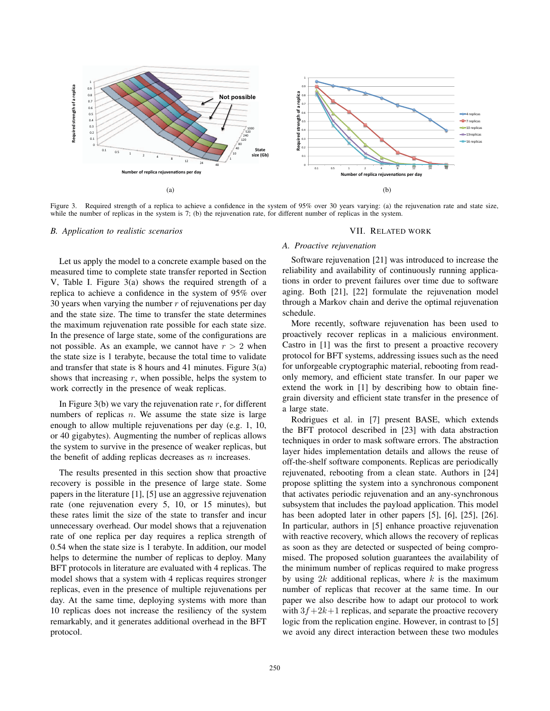

Figure 3. Required strength of a replica to achieve a confidence in the system of 95% over 30 years varying: (a) the rejuvenation rate and state size, while the number of replicas in the system is 7; (b) the rejuvenation rate, for different number of replicas in the system.

*B. Application to realistic scenarios*

# VII. RELATED WORK

*A. Proactive rejuvenation*

Let us apply the model to a concrete example based on the measured time to complete state transfer reported in Section V, Table I. Figure 3(a) shows the required strength of a replica to achieve a confidence in the system of 95% over 30 years when varying the number  $r$  of rejuvenations per day and the state size. The time to transfer the state determines the maximum rejuvenation rate possible for each state size. In the presence of large state, some of the configurations are not possible. As an example, we cannot have  $r > 2$  when the state size is 1 terabyte, because the total time to validate and transfer that state is 8 hours and 41 minutes. Figure 3(a) shows that increasing  $r$ , when possible, helps the system to work correctly in the presence of weak replicas.

In Figure 3(b) we vary the rejuvenation rate  $r$ , for different numbers of replicas  $n$ . We assume the state size is large enough to allow multiple rejuvenations per day (e.g. 1, 10, or 40 gigabytes). Augmenting the number of replicas allows the system to survive in the presence of weaker replicas, but the benefit of adding replicas decreases as  $n$  increases.

The results presented in this section show that proactive recovery is possible in the presence of large state. Some papers in the literature [1], [5] use an aggressive rejuvenation rate (one rejuvenation every 5, 10, or 15 minutes), but these rates limit the size of the state to transfer and incur unnecessary overhead. Our model shows that a rejuvenation rate of one replica per day requires a replica strength of 0.54 when the state size is 1 terabyte. In addition, our model helps to determine the number of replicas to deploy. Many BFT protocols in literature are evaluated with 4 replicas. The model shows that a system with 4 replicas requires stronger replicas, even in the presence of multiple rejuvenations per day. At the same time, deploying systems with more than 10 replicas does not increase the resiliency of the system remarkably, and it generates additional overhead in the BFT protocol.

Software rejuvenation [21] was introduced to increase the reliability and availability of continuously running applications in order to prevent failures over time due to software aging. Both [21], [22] formulate the rejuvenation model through a Markov chain and derive the optimal rejuvenation schedule.

More recently, software rejuvenation has been used to proactively recover replicas in a malicious environment. Castro in [1] was the first to present a proactive recovery protocol for BFT systems, addressing issues such as the need for unforgeable cryptographic material, rebooting from readonly memory, and efficient state transfer. In our paper we extend the work in [1] by describing how to obtain finegrain diversity and efficient state transfer in the presence of a large state.

Rodrigues et al. in [7] present BASE, which extends the BFT protocol described in [23] with data abstraction techniques in order to mask software errors. The abstraction layer hides implementation details and allows the reuse of off-the-shelf software components. Replicas are periodically rejuvenated, rebooting from a clean state. Authors in [24] propose splitting the system into a synchronous component that activates periodic rejuvenation and an any-synchronous subsystem that includes the payload application. This model has been adopted later in other papers [5], [6], [25], [26]. In particular, authors in [5] enhance proactive rejuvenation with reactive recovery, which allows the recovery of replicas as soon as they are detected or suspected of being compromised. The proposed solution guarantees the availability of the minimum number of replicas required to make progress by using  $2k$  additional replicas, where k is the maximum number of replicas that recover at the same time. In our paper we also describe how to adapt our protocol to work with  $3f+2k+1$  replicas, and separate the proactive recovery logic from the replication engine. However, in contrast to [5] we avoid any direct interaction between these two modules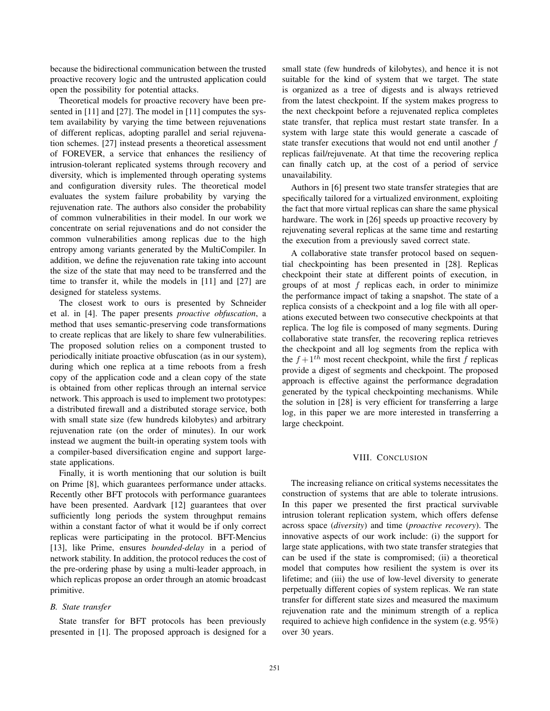because the bidirectional communication between the trusted proactive recovery logic and the untrusted application could open the possibility for potential attacks.

Theoretical models for proactive recovery have been presented in [11] and [27]. The model in [11] computes the system availability by varying the time between rejuvenations of different replicas, adopting parallel and serial rejuvenation schemes. [27] instead presents a theoretical assessment of FOREVER, a service that enhances the resiliency of intrusion-tolerant replicated systems through recovery and diversity, which is implemented through operating systems and configuration diversity rules. The theoretical model evaluates the system failure probability by varying the rejuvenation rate. The authors also consider the probability of common vulnerabilities in their model. In our work we concentrate on serial rejuvenations and do not consider the common vulnerabilities among replicas due to the high entropy among variants generated by the MultiCompiler. In addition, we define the rejuvenation rate taking into account the size of the state that may need to be transferred and the time to transfer it, while the models in [11] and [27] are designed for stateless systems.

The closest work to ours is presented by Schneider et al. in [4]. The paper presents *proactive obfuscation*, a method that uses semantic-preserving code transformations to create replicas that are likely to share few vulnerabilities. The proposed solution relies on a component trusted to periodically initiate proactive obfuscation (as in our system), during which one replica at a time reboots from a fresh copy of the application code and a clean copy of the state is obtained from other replicas through an internal service network. This approach is used to implement two prototypes: a distributed firewall and a distributed storage service, both with small state size (few hundreds kilobytes) and arbitrary rejuvenation rate (on the order of minutes). In our work instead we augment the built-in operating system tools with a compiler-based diversification engine and support largestate applications.

Finally, it is worth mentioning that our solution is built on Prime [8], which guarantees performance under attacks. Recently other BFT protocols with performance guarantees have been presented. Aardvark [12] guarantees that over sufficiently long periods the system throughput remains within a constant factor of what it would be if only correct replicas were participating in the protocol. BFT-Mencius [13], like Prime, ensures *bounded-delay* in a period of network stability. In addition, the protocol reduces the cost of the pre-ordering phase by using a multi-leader approach, in which replicas propose an order through an atomic broadcast primitive.

### *B. State transfer*

State transfer for BFT protocols has been previously presented in [1]. The proposed approach is designed for a small state (few hundreds of kilobytes), and hence it is not suitable for the kind of system that we target. The state is organized as a tree of digests and is always retrieved from the latest checkpoint. If the system makes progress to the next checkpoint before a rejuvenated replica completes state transfer, that replica must restart state transfer. In a system with large state this would generate a cascade of state transfer executions that would not end until another  $f$ replicas fail/rejuvenate. At that time the recovering replica can finally catch up, at the cost of a period of service unavailability.

Authors in [6] present two state transfer strategies that are specifically tailored for a virtualized environment, exploiting the fact that more virtual replicas can share the same physical hardware. The work in [26] speeds up proactive recovery by rejuvenating several replicas at the same time and restarting the execution from a previously saved correct state.

A collaborative state transfer protocol based on sequential checkpointing has been presented in [28]. Replicas checkpoint their state at different points of execution, in groups of at most  $f$  replicas each, in order to minimize the performance impact of taking a snapshot. The state of a replica consists of a checkpoint and a log file with all operations executed between two consecutive checkpoints at that replica. The log file is composed of many segments. During collaborative state transfer, the recovering replica retrieves the checkpoint and all log segments from the replica with the  $f+1<sup>th</sup>$  most recent checkpoint, while the first f replicas provide a digest of segments and checkpoint. The proposed approach is effective against the performance degradation generated by the typical checkpointing mechanisms. While the solution in [28] is very efficient for transferring a large log, in this paper we are more interested in transferring a large checkpoint.

### VIII. CONCLUSION

The increasing reliance on critical systems necessitates the construction of systems that are able to tolerate intrusions. In this paper we presented the first practical survivable intrusion tolerant replication system, which offers defense across space (*diversity*) and time (*proactive recovery*). The innovative aspects of our work include: (i) the support for large state applications, with two state transfer strategies that can be used if the state is compromised; (ii) a theoretical model that computes how resilient the system is over its lifetime; and (iii) the use of low-level diversity to generate perpetually different copies of system replicas. We ran state transfer for different state sizes and measured the maximum rejuvenation rate and the minimum strength of a replica required to achieve high confidence in the system (e.g. 95%) over 30 years.